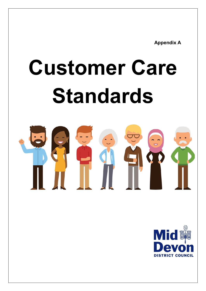**Appendix A**

# **Customer Care Standards**



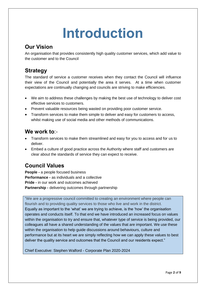# **Introduction**

### **Our Vision**

An organisation that provides consistently high quality customer services, which add value to the customer and to the Council

### **Strategy**

The standard of service a customer receives when they contact the Council will influence their view of the Council and potentially the area it serves. At a time when customer expectations are continually changing and councils are striving to make efficiencies.

- We aim to address these challenges by making the best use of technology to deliver cost effective services to customers.
- Prevent valuable resources being wasted on providing poor customer service.
- Transform services to make them simple to deliver and easy for customers to access, whilst making use of social media and other methods of communications.

### **We work to**:-

- Transform services to make them streamlined and easy for you to access and for us to deliver.
- Embed a culture of good practice across the Authority where staff and customers are clear about the standards of service they can expect to receive.

### **Council Values**

**People -** a people focused business **Performance -** as individuals and a collective **Pride -** in our work and outcomes achieved **Partnership -** delivering outcomes through partnership

"We are a progressive council committed to creating an environment where people can flourish and to providing quality services to those who live and work in the district. Equally as important to the 'what' we are trying to achieve, is the 'how' the organisation operates and conducts itself. To that end we have introduced an increased focus on values within the organisation to try and ensure that, whatever type of service is being provided, our colleagues all have a shared understanding of the values that are important. We use these within the organisation to help guide discussions around behaviours, culture and performance but at its heart we are simply reflecting how we can apply these values to best deliver the quality service and outcomes that the Council and our residents expect."

Chief Executive: Stephen Walford - Corporate Plan 2020-2024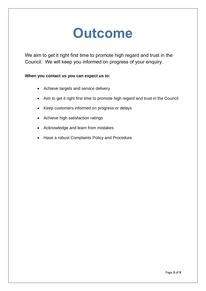### **Outcome**

We aim to get it right first time to promote high regard and trust in the Council. We will keep you informed on progress of your enquiry.

#### **When you contact us you can expect us to:**

- Achieve targets and service delivery
- Aim to get it right first time to promote high regard and trust in the Council
- Keep customers informed on progress or delays
- Achieve high satisfaction ratings
- Acknowledge and learn from mistakes
- Have a robust Complaints Policy and Procedure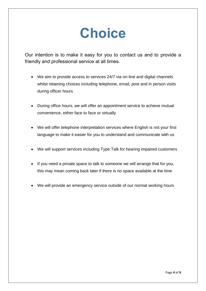## **Choice**

Our intention is to make it easy for you to contact us and to provide a friendly and professional service at all times.

- We aim to provide access to services 24/7 via on-line and digital channels whilst retaining choices including telephone, email, post and in person visits during officer hours
- During office hours, we will offer an appointment service to achieve mutual convenience, either face to face or virtually
- We will offer telephone interpretation services where English is not your first language to make it easier for you to understand and communicate with us
- We will support services including Type Talk for hearing impaired customers
- If you need a private space to talk to someone we will arrange that for you, this may mean coming back later if there is no space available at the time
- We will provide an emergency service outside of our normal working hours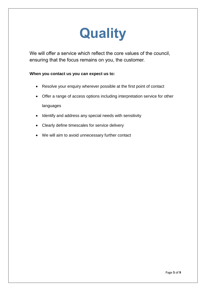# **Quality**

We will offer a service which reflect the core values of the council, ensuring that the focus remains on you, the customer.

#### **When you contact us you can expect us to:**

- Resolve your enquiry wherever possible at the first point of contact
- Offer a range of access options including interpretation service for other languages
- Identify and address any special needs with sensitivity
- Clearly define timescales for service delivery
- We will aim to avoid unnecessary further contact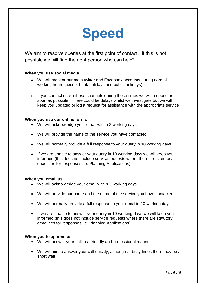## **Speed**

We aim to resolve queries at the first point of contact. If this is not possible we will find the right person who can help\*

#### **When you use social media**

- We will monitor our main twitter and Facebook accounts during normal working hours (except bank holidays and public holidays)
- If you contact us via these channels during these times we will respond as soon as possible. There could be delays whilst we investigate but we will keep you updated or log a request for assistance with the appropriate service

#### **When you use our online forms**

- We will acknowledge your email within 3 working days
- We will provide the name of the service you have contacted
- We will normally provide a full response to your query in 10 working days
- If we are unable to answer your query in 10 working days we will keep you informed (this does not include service requests where there are statutory deadlines for responses i.e. Planning Applications)

#### **When you email us**

- We will acknowledge your email within 3 working days
- We will provide our name and the name of the service you have contacted
- We will normally provide a full response to your email in 10 working days
- If we are unable to answer your query in 10 working days we will keep you informed (this does not include service requests where there are statutory deadlines for responses i.e. Planning Applications)

#### **When you telephone us**

- We will answer your call in a friendly and professional manner
- We will aim to answer your call quickly, although at busy times there may be a short wait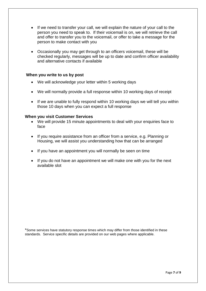- If we need to transfer your call, we will explain the nature of your call to the person you need to speak to. If their voicemail is on, we will retrieve the call and offer to transfer you to the voicemail, or offer to take a message for the person to make contact with you
- Occasionally you may get through to an officers voicemail, these will be checked regularly, messages will be up to date and confirm officer availability and alternative contacts if available

#### **When you write to us by post**

- We will acknowledge your letter within 5 working days
- We will normally provide a full response within 10 working days of receipt
- If we are unable to fully respond within 10 working days we will tell you within those 10 days when you can expect a full response

#### **When you visit Customer Services**

- We will provide 15 minute appointments to deal with your enquiries face to face
- If you require assistance from an officer from a service, e.g. Planning or Housing, we will assist you understanding how that can be arranged
- If you have an appointment you will normally be seen on time
- If you do not have an appointment we will make one with you for the next available slot

\*Some services have statutory response times which may differ from those identified in these standards. Service specific details are provided on our web pages where applicable.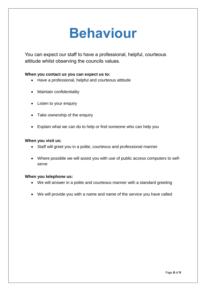### **Behaviour**

You can expect our staff to have a professional, helpful, courteous attitude whilst observing the councils values.

#### **When you contact us you can expect us to:**

- Have a professional, helpful and courteous attitude
- Maintain confidentiality
- Listen to your enquiry
- Take ownership of the enquiry
- Explain what we can do to help or find someone who can help you

#### **When you visit us:**

- Staff will greet you in a polite, courteous and professional manner
- Where possible we will assist you with use of public access computers to selfserve

#### **When you telephone us:**

- We will answer in a polite and courteous manner with a standard greeting
- We will provide you with a name and name of the service you have called